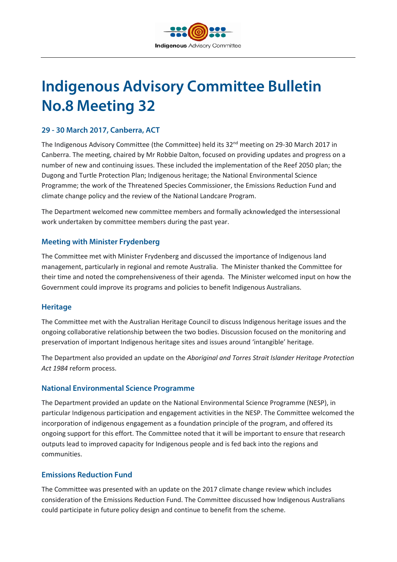

# **Indigenous Advisory Committee Bulletin No.8 Meeting 32**

# **29 - 30 March 2017, Canberra, ACT**

The Indigenous Advisory Committee (the Committee) held its 32<sup>nd</sup> meeting on 29-30 March 2017 in Canberra. The meeting, chaired by Mr Robbie Dalton, focused on providing updates and progress on a number of new and continuing issues. These included the implementation of the Reef 2050 plan; the Dugong and Turtle Protection Plan; Indigenous heritage; the National Environmental Science Programme; the work of the Threatened Species Commissioner, the Emissions Reduction Fund and climate change policy and the review of the National Landcare Program.

The Department welcomed new committee members and formally acknowledged the intersessional work undertaken by committee members during the past year.

#### **Meeting with Minister Frydenberg**

The Committee met with Minister Frydenberg and discussed the importance of Indigenous land management, particularly in regional and remote Australia. The Minister thanked the Committee for their time and noted the comprehensiveness of their agenda. The Minister welcomed input on how the Government could improve its programs and policies to benefit Indigenous Australians.

#### **Heritage**

The Committee met with the Australian Heritage Council to discuss Indigenous heritage issues and the ongoing collaborative relationship between the two bodies. Discussion focused on the monitoring and preservation of important Indigenous heritage sites and issues around 'intangible' heritage.

The Department also provided an update on the *Aboriginal and Torres Strait Islander Heritage Protection Act 1984* reform process.

#### **National Environmental Science Programme**

The Department provided an update on the National Environmental Science Programme (NESP), in particular Indigenous participation and engagement activities in the NESP. The Committee welcomed the incorporation of indigenous engagement as a foundation principle of the program, and offered its ongoing support for this effort. The Committee noted that it will be important to ensure that research outputs lead to improved capacity for Indigenous people and is fed back into the regions and communities.

#### **Emissions Reduction Fund**

The Committee was presented with an update on the 2017 climate change review which includes consideration of the Emissions Reduction Fund. The Committee discussed how Indigenous Australians could participate in future policy design and continue to benefit from the scheme.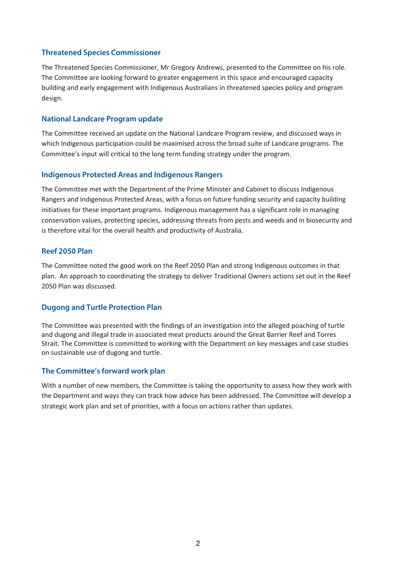# **Threatened Species Commissioner**

The Threatened Species Commissioner, Mr Gregory Andrews, presented to the Committee on his role. The Committee are looking forward to greater engagement in this space and encouraged capacity building and early engagement with Indigenous Australians in threatened species policy and program design.

### **National Landcare Program update**

The Committee received an update on the National Landcare Program review, and discussed ways in which Indigenous participation could be maximised across the broad suite of Landcare programs. The Committee's input will critical to the long term funding strategy under the program.

# **Indigenous Protected Areas and Indigenous Rangers**

The Committee met with the Department of the Prime Minister and Cabinet to discuss Indigenous Rangers and Indigenous Protected Areas, with a focus on future funding security and capacity building initiatives for these important programs. Indigenous management has a significant role in managing conservation values, protecting species, addressing threats from pests and weeds and in biosecurity and is therefore vital for the overall health and productivity of Australia.

# **Reef 2050 Plan**

The Committee noted the good work on the Reef 2050 Plan and strong Indigenous outcomes in that plan. An approach to coordinating the strategy to deliver Traditional Owners actions set out in the Reef 2050 Plan was discussed.

#### **Dugong and Turtle Protection Plan**

The Committee was presented with the findings of an investigation into the alleged poaching of turtle and dugong and illegal trade in associated meat products around the Great Barrier Reef and Torres Strait. The Committee is committed to working with the Department on key messages and case studies on sustainable use of dugong and turtle.

# **The Committee's forward work plan**

With a number of new members, the Committee is taking the opportunity to assess how they work with the Department and ways they can track how advice has been addressed. The Committee will develop a strategic work plan and set of priorities, with a focus on actions rather than updates.